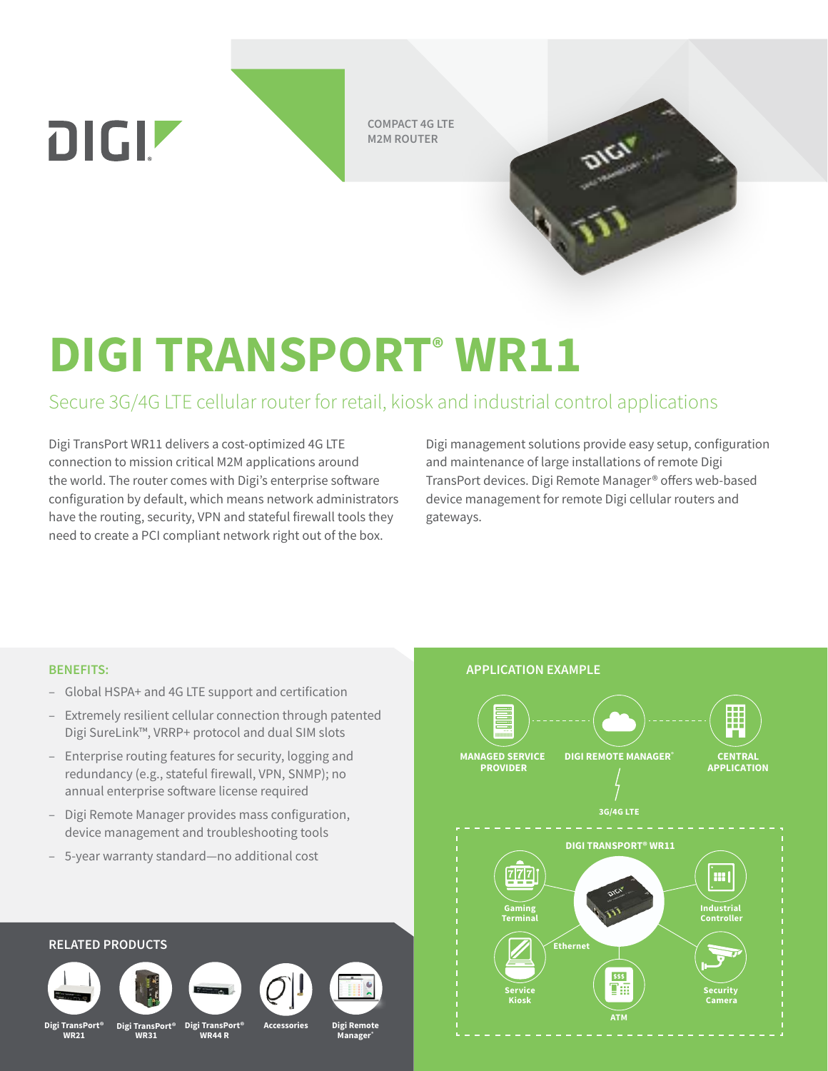**DIGIZ** 

**COMPACT 4G LTE M2M ROUTER**

# **DIGI TRANSPORT® WR11**

# Secure 3G/4G LTE cellular router for retail, kiosk and industrial control applications

Digi TransPort WR11 delivers a cost-optimized 4G LTE connection to mission critical M2M applications around the world. The router comes with Digi's enterprise software configuration by default, which means network administrators have the routing, security, VPN and stateful firewall tools they need to create a PCI compliant network right out of the box.

Digi management solutions provide easy setup, configuration and maintenance of large installations of remote Digi TransPort devices. Digi Remote Manager® offers web-based device management for remote Digi cellular routers and gateways.

## **BENEFITS: APPLICATION EXAMPLE**

- Global HSPA+ and 4G LTE support and certification
- Extremely resilient cellular connection through patented Digi SureLink™, VRRP+ protocol and dual SIM slots
- Enterprise routing features for security, logging and redundancy (e.g., stateful firewall, VPN, SNMP); no annual enterprise software license required
- Digi Remote Manager provides mass configuration, device management and troubleshooting tools
- 5-year warranty standard—no additional cost

## **MANAGED SERVICE DIGI REMOTE MANAGER® CENTRAL APPLICATION PROVIDER 3G/4G LTE DIGI TRANSPORT® WR11** 777 m. **Gaming Industrial Terminal Controller Ethernet**  $|$ sss TA **Service Security Kiosk Camera**

**ATM**

## **RELATED PRODUCTS**











**Digi TransPort® WR21**

**Digi TransPort® WR31**

**Digi TransPort® WR44 R**

**Accessories**

**Digi Remote Manager®**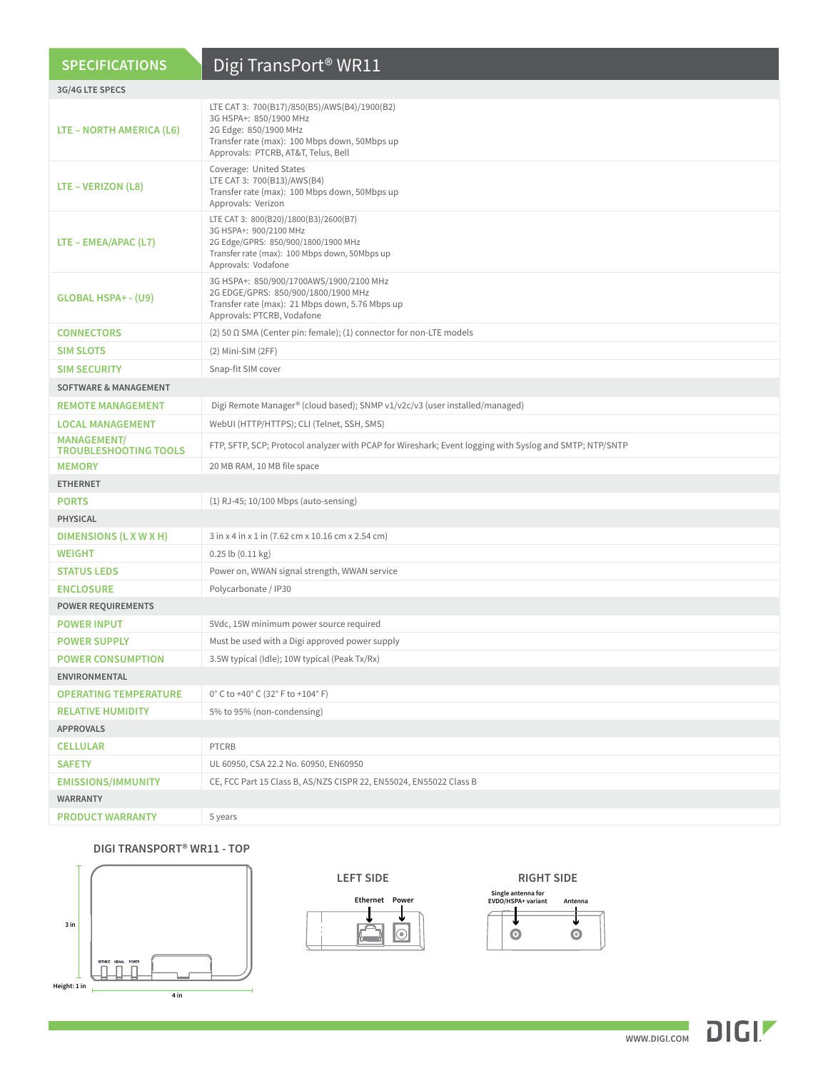| <b>SPECIFICATIONS</b>                              | Digi TransPort <sup>®</sup> WR11                                                                                                                                                        |  |
|----------------------------------------------------|-----------------------------------------------------------------------------------------------------------------------------------------------------------------------------------------|--|
| 3G/4G LTE SPECS                                    |                                                                                                                                                                                         |  |
| LTE – NORTH AMERICA (L6)                           | LTE CAT 3: 700(B17)/850(B5)/AWS(B4)/1900(B2)<br>3G HSPA+: 850/1900 MHz<br>2G Edge: 850/1900 MHz<br>Transfer rate (max): 100 Mbps down, 50Mbps up<br>Approvals: PTCRB, AT&T, Telus, Bell |  |
| LTE - VERIZON (L8)                                 | Coverage: United States<br>LTE CAT 3: 700(B13)/AWS(B4)<br>Transfer rate (max): 100 Mbps down, 50Mbps up<br>Approvals: Verizon                                                           |  |
| $LTE - EMEA/APAC (L7)$                             | LTE CAT 3: 800(B20)/1800(B3)/2600(B7)<br>3G HSPA+: 900/2100 MHz<br>2G Edge/GPRS: 850/900/1800/1900 MHz<br>Transfer rate (max): 100 Mbps down, 50Mbps up<br>Approvals: Vodafone          |  |
| GLOBAL HSPA+ - (U9)                                | 3G HSPA+: 850/900/1700AWS/1900/2100 MHz<br>2G EDGE/GPRS: 850/900/1800/1900 MHz<br>Transfer rate (max): 21 Mbps down, 5.76 Mbps up<br>Approvals: PTCRB, Vodafone                         |  |
| <b>CONNECTORS</b>                                  | (2) 50 $\Omega$ SMA (Center pin: female); (1) connector for non-LTE models                                                                                                              |  |
| <b>SIM SLOTS</b>                                   | (2) Mini-SIM (2FF)                                                                                                                                                                      |  |
| <b>SIM SECURITY</b>                                | Snap-fit SIM cover                                                                                                                                                                      |  |
| <b>SOFTWARE &amp; MANAGEMENT</b>                   |                                                                                                                                                                                         |  |
| <b>REMOTE MANAGEMENT</b>                           | Digi Remote Manager® (cloud based); SNMP v1/v2c/v3 (user installed/managed)                                                                                                             |  |
| <b>LOCAL MANAGEMENT</b>                            | WebUI (HTTP/HTTPS); CLI (Telnet, SSH, SMS)                                                                                                                                              |  |
| <b>MANAGEMENT/</b><br><b>TROUBLESHOOTING TOOLS</b> | FTP, SFTP, SCP; Protocol analyzer with PCAP for Wireshark; Event logging with Syslog and SMTP; NTP/SNTP                                                                                 |  |
| <b>MEMORY</b>                                      | 20 MB RAM, 10 MB file space                                                                                                                                                             |  |
| <b>ETHERNET</b>                                    |                                                                                                                                                                                         |  |
| <b>PORTS</b>                                       | (1) RJ-45; 10/100 Mbps (auto-sensing)                                                                                                                                                   |  |
| <b>PHYSICAL</b>                                    |                                                                                                                                                                                         |  |
| DIMENSIONS (L X W X H)                             | 3 in x 4 in x 1 in (7.62 cm x 10.16 cm x 2.54 cm)                                                                                                                                       |  |
| <b>WEIGHT</b>                                      | $0.25$ lb $(0.11$ kg)                                                                                                                                                                   |  |
| <b>STATUS LEDS</b>                                 | Power on, WWAN signal strength, WWAN service                                                                                                                                            |  |
| <b>ENCLOSURE</b>                                   | Polycarbonate / IP30                                                                                                                                                                    |  |
| <b>POWER REQUIREMENTS</b>                          |                                                                                                                                                                                         |  |
| <b>POWER INPUT</b>                                 | 5Vdc, 15W minimum power source required                                                                                                                                                 |  |
| <b>POWER SUPPLY</b>                                | Must be used with a Digi approved power supply                                                                                                                                          |  |
| <b>POWER CONSUMPTION</b>                           | 3.5W typical (Idle); 10W typical (Peak Tx/Rx)                                                                                                                                           |  |
| ENVIRONMENTAL                                      |                                                                                                                                                                                         |  |
| <b>OPERATING TEMPERATURE</b>                       | 0°C to +40°C (32°F to +104°F)                                                                                                                                                           |  |
| <b>RELATIVE HUMIDITY</b>                           | 5% to 95% (non-condensing)                                                                                                                                                              |  |
| <b>APPROVALS</b>                                   |                                                                                                                                                                                         |  |
| <b>CELLULAR</b>                                    | PTCRB                                                                                                                                                                                   |  |
| <b>SAFETY</b>                                      | UL 60950, CSA 22.2 No. 60950, EN60950                                                                                                                                                   |  |
| <b>EMISSIONS/IMMUNITY</b>                          | CE, FCC Part 15 Class B, AS/NZS CISPR 22, EN55024, EN55022 Class B                                                                                                                      |  |
| <b>WARRANTY</b>                                    |                                                                                                                                                                                         |  |
| <b>PRODUCT WARRANTY</b>                            | 5 years                                                                                                                                                                                 |  |

## **DIGI TRANSPORT® WR11 - TOP**